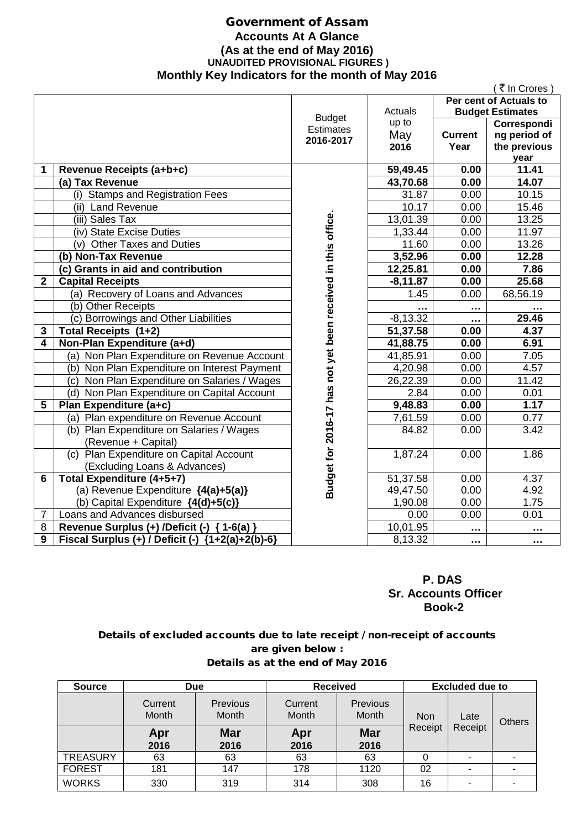# Government of Assam **Accounts At A Glance (As at the end of May 2016) UNAUDITED PROVISIONAL FIGURES ) Monthly Key Indicators for the month of May 2016**

|              |                                                    |                                                              |                       |                | ( ₹ In Crores )         |
|--------------|----------------------------------------------------|--------------------------------------------------------------|-----------------------|----------------|-------------------------|
|              |                                                    |                                                              |                       |                | Per cent of Actuals to  |
|              |                                                    | <b>Budget</b>                                                | Actuals               |                | <b>Budget Estimates</b> |
|              |                                                    | <b>Estimates</b>                                             | up to                 |                | Correspondi             |
|              |                                                    | 2016-2017                                                    | May                   | <b>Current</b> | ng period of            |
|              |                                                    |                                                              | 2016                  | Year           | the previous            |
|              |                                                    |                                                              |                       |                | year                    |
| 1            | Revenue Receipts (a+b+c)                           |                                                              | 59,49.45              | 0.00           | 11.41                   |
|              | (a) Tax Revenue                                    |                                                              | 43,70.68              | 0.00           | 14.07                   |
|              | (i) Stamps and Registration Fees                   |                                                              | 31.87                 | 0.00           | 10.15                   |
|              | (ii) Land Revenue                                  |                                                              | 10.17                 | 0.00           | 15.46                   |
|              | (iii) Sales Tax                                    |                                                              | 13,01.39              | 0.00           | 13.25                   |
|              | (iv) State Excise Duties                           |                                                              | 1,33.44               | 0.00           | 11.97                   |
|              | (v) Other Taxes and Duties                         | Budget for 2016-17 has not yet been received in this office. | 11.60                 | 0.00           | 13.26                   |
|              | (b) Non-Tax Revenue                                |                                                              | 3,52.96               | 0.00           | 12.28                   |
|              | (c) Grants in aid and contribution                 |                                                              | 12,25.81              | 0.00           | 7.86                    |
| $\mathbf{2}$ | <b>Capital Receipts</b>                            |                                                              | $-8, 11.87$           | 0.00           | 25.68                   |
|              | (a) Recovery of Loans and Advances                 |                                                              | 1.45                  | 0.00           | 68,56.19                |
|              | (b) Other Receipts                                 |                                                              |                       |                | .                       |
|              | (c) Borrowings and Other Liabilities               |                                                              | $-8,13.32$            |                | 29.46                   |
| 3            | Total Receipts (1+2)                               |                                                              | 51,37.58              | 0.00           | 4.37                    |
| 4            | Non-Plan Expenditure (a+d)                         |                                                              | 41,88.75              | 0.00           | 6.91                    |
|              | (a) Non Plan Expenditure on Revenue Account        |                                                              | 41,85.91              | 0.00           | 7.05                    |
|              | (b) Non Plan Expenditure on Interest Payment       |                                                              | 4,20.98               | 0.00           | 4.57                    |
|              | (c) Non Plan Expenditure on Salaries / Wages       |                                                              | 26,22.39              | 0.00           | 11.42                   |
|              | (d) Non Plan Expenditure on Capital Account        |                                                              | 2.84                  | 0.00           | 0.01                    |
| 5            | Plan Expenditure (a+c)                             |                                                              | 9,48.83               | 0.00           | 1.17                    |
|              | (a) Plan expenditure on Revenue Account            |                                                              | 7,61.59               | 0.00           | 0.77                    |
|              | (b) Plan Expenditure on Salaries / Wages           |                                                              | 84.82                 | 0.00           | 3.42                    |
|              | (Revenue + Capital)                                |                                                              |                       |                |                         |
|              | (c) Plan Expenditure on Capital Account            |                                                              | 1,87.24               | 0.00           | 1.86                    |
|              | (Excluding Loans & Advances)                       |                                                              |                       |                |                         |
| 6            | <b>Total Expenditure (4+5+7)</b>                   |                                                              | 51,37.58              | 0.00           | $\overline{4}$ .37      |
|              | (a) Revenue Expenditure {4(a)+5(a)}                |                                                              | 49,47.50              | 0.00           | 4.92                    |
|              | (b) Capital Expenditure {4(d)+5(c)}                |                                                              | 1,90.08               | 0.00           | 1.75                    |
| 7            | Loans and Advances disbursed                       |                                                              | 0.00                  | 0.00           | 0.01                    |
| 8            | Revenue Surplus (+) /Deficit (-) { 1-6(a) }        |                                                              | $10,01.\overline{95}$ | .              | .                       |
| 9            | Fiscal Surplus (+) / Deficit (-) ${1+2(a)+2(b)-6}$ |                                                              | 8,13.32               | $\cdots$       |                         |

## **P. DAS Sr. Accounts Officer Book-2**

## Details of excluded accounts due to late receipt / non-receipt of accounts are given below : Details as at the end of May 2016

| <b>Source</b>   | <b>Due</b>       |                          | <b>Received</b>  |                          | <b>Excluded due to</b> |         |  |  |  |  |  |      |               |
|-----------------|------------------|--------------------------|------------------|--------------------------|------------------------|---------|--|--|--|--|--|------|---------------|
|                 | Current<br>Month | Previous<br><b>Month</b> | Current<br>Month | Previous<br><b>Month</b> | <b>Non</b>             |         |  |  |  |  |  | Late | <b>Others</b> |
|                 | Apr<br>2016      | <b>Mar</b><br>2016       | Apr<br>2016      | <b>Mar</b><br>2016       | Receipt                | Receipt |  |  |  |  |  |      |               |
| <b>TREASURY</b> | 63               | 63                       | 63               | 63                       |                        | ۰       |  |  |  |  |  |      |               |
| <b>FOREST</b>   | 181              | 147                      | 178              | 1120                     | 02                     | ۰       |  |  |  |  |  |      |               |
| <b>WORKS</b>    | 330              | 319                      | 314              | 308                      | 16                     | ۰       |  |  |  |  |  |      |               |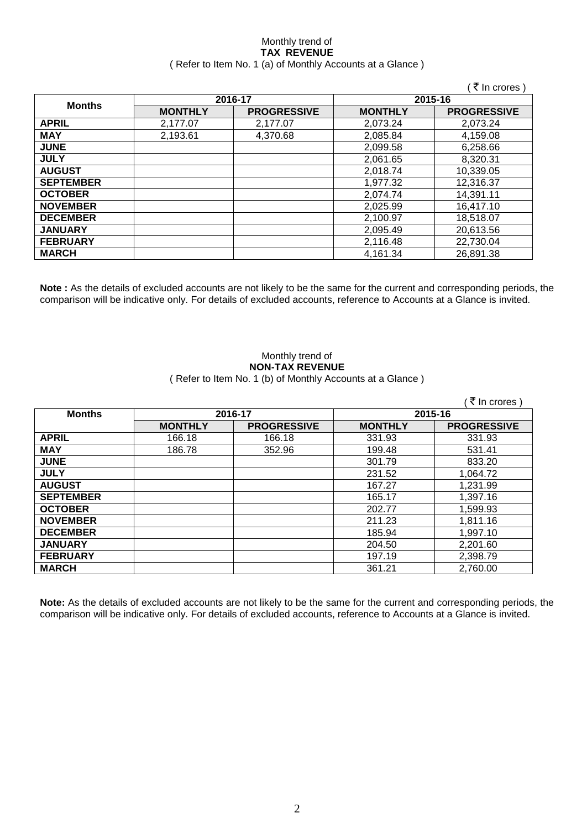## Monthly trend of **TAX REVENUE** ( Refer to Item No. 1 (a) of Monthly Accounts at a Glance )

|                  |                |                    |                | (₹ In crores)      |
|------------------|----------------|--------------------|----------------|--------------------|
|                  |                | 2016-17            |                | 2015-16            |
| <b>Months</b>    | <b>MONTHLY</b> | <b>PROGRESSIVE</b> | <b>MONTHLY</b> | <b>PROGRESSIVE</b> |
| <b>APRIL</b>     | 2,177.07       | 2.177.07           | 2,073.24       | 2,073.24           |
| <b>MAY</b>       | 2,193.61       | 4,370.68           | 2,085.84       | 4,159.08           |
| <b>JUNE</b>      |                |                    | 2,099.58       | 6,258.66           |
| <b>JULY</b>      |                |                    | 2,061.65       | 8,320.31           |
| <b>AUGUST</b>    |                |                    | 2,018.74       | 10,339.05          |
| <b>SEPTEMBER</b> |                |                    | 1,977.32       | 12,316.37          |
| <b>OCTOBER</b>   |                |                    | 2,074.74       | 14,391.11          |
| <b>NOVEMBER</b>  |                |                    | 2,025.99       | 16,417.10          |
| <b>DECEMBER</b>  |                |                    | 2,100.97       | 18,518.07          |
| <b>JANUARY</b>   |                |                    | 2,095.49       | 20,613.56          |
| <b>FEBRUARY</b>  |                |                    | 2,116.48       | 22,730.04          |
| <b>MARCH</b>     |                |                    | 4,161.34       | 26,891.38          |

**Note :** As the details of excluded accounts are not likely to be the same for the current and corresponding periods, the comparison will be indicative only. For details of excluded accounts, reference to Accounts at a Glance is invited.

# Monthly trend of **NON-TAX REVENUE**

# ( Refer to Item No. 1 (b) of Monthly Accounts at a Glance )

|                  |                |                    |                | ∶ ₹ In crores )    |
|------------------|----------------|--------------------|----------------|--------------------|
| <b>Months</b>    | 2016-17        |                    | 2015-16        |                    |
|                  | <b>MONTHLY</b> | <b>PROGRESSIVE</b> | <b>MONTHLY</b> | <b>PROGRESSIVE</b> |
| <b>APRIL</b>     | 166.18         | 166.18             | 331.93         | 331.93             |
| <b>MAY</b>       | 186.78         | 352.96             | 199.48         | 531.41             |
| <b>JUNE</b>      |                |                    | 301.79         | 833.20             |
| <b>JULY</b>      |                |                    | 231.52         | 1,064.72           |
| <b>AUGUST</b>    |                |                    | 167.27         | 1,231.99           |
| <b>SEPTEMBER</b> |                |                    | 165.17         | 1,397.16           |
| <b>OCTOBER</b>   |                |                    | 202.77         | 1,599.93           |
| <b>NOVEMBER</b>  |                |                    | 211.23         | 1,811.16           |
| <b>DECEMBER</b>  |                |                    | 185.94         | 1,997.10           |
| <b>JANUARY</b>   |                |                    | 204.50         | 2,201.60           |
| <b>FEBRUARY</b>  |                |                    | 197.19         | 2,398.79           |
| <b>MARCH</b>     |                |                    | 361.21         | 2,760.00           |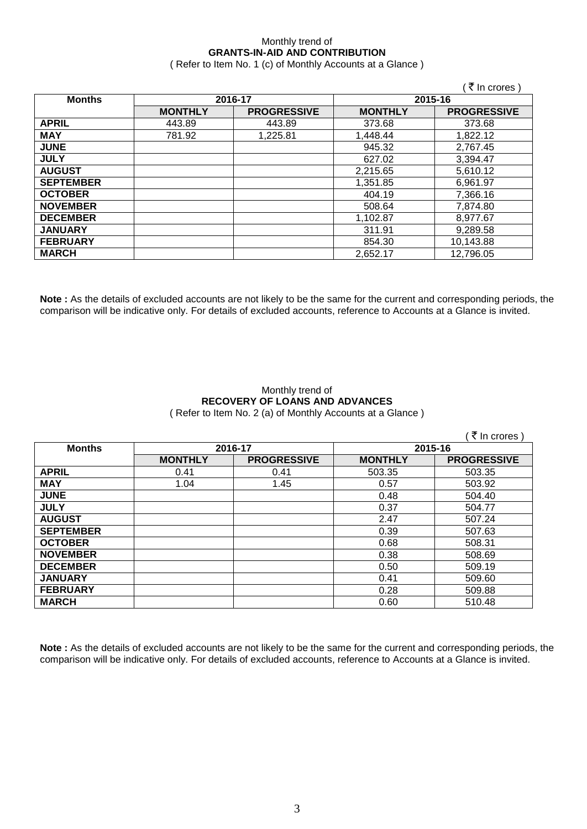# Monthly trend of **GRANTS-IN-AID AND CONTRIBUTION**

( Refer to Item No. 1 (c) of Monthly Accounts at a Glance )

|                  |                |                    |                | ( ₹ In crores )    |
|------------------|----------------|--------------------|----------------|--------------------|
| <b>Months</b>    |                | 2016-17            |                | 2015-16            |
|                  | <b>MONTHLY</b> | <b>PROGRESSIVE</b> | <b>MONTHLY</b> | <b>PROGRESSIVE</b> |
| <b>APRIL</b>     | 443.89         | 443.89             | 373.68         | 373.68             |
| <b>MAY</b>       | 781.92         | 1,225.81           | 1,448.44       | 1,822.12           |
| <b>JUNE</b>      |                |                    | 945.32         | 2,767.45           |
| <b>JULY</b>      |                |                    | 627.02         | 3,394.47           |
| <b>AUGUST</b>    |                |                    | 2,215.65       | 5,610.12           |
| <b>SEPTEMBER</b> |                |                    | 1,351.85       | 6,961.97           |
| <b>OCTOBER</b>   |                |                    | 404.19         | 7,366.16           |
| <b>NOVEMBER</b>  |                |                    | 508.64         | 7,874.80           |
| <b>DECEMBER</b>  |                |                    | 1,102.87       | 8,977.67           |
| <b>JANUARY</b>   |                |                    | 311.91         | 9,289.58           |
| <b>FEBRUARY</b>  |                |                    | 854.30         | 10,143.88          |
| <b>MARCH</b>     |                |                    | 2,652.17       | 12,796.05          |

**Note :** As the details of excluded accounts are not likely to be the same for the current and corresponding periods, the comparison will be indicative only. For details of excluded accounts, reference to Accounts at a Glance is invited.

### Monthly trend of **RECOVERY OF LOANS AND ADVANCES** ( Refer to Item No. 2 (a) of Monthly Accounts at a Glance )

( $\bar{\tau}$  In crores) **Months 2016-17 2015-16 MONTHLY PROGRESSIVE MONTHLY PROGRESSIVE APRIL** 0.41 0.41 503.35 503.35 **MAY** 1.04 1.45 2.57 503.92 **JUNE** 504.40 **JULY** 0.37 504.77 **AUGUST** 2.47 507.24 **SEPTEMBER** | 1 0.39 507.63 **OCTOBER** 0.68 508.31 **NOVEMBER** | 1 0.38 508.69 **DECEMBER** 0.50 509.19 **JANUARY** 0.41 509.60 **FEBRUARY** 0.28 509.88 **MARCH** 0.60 510.48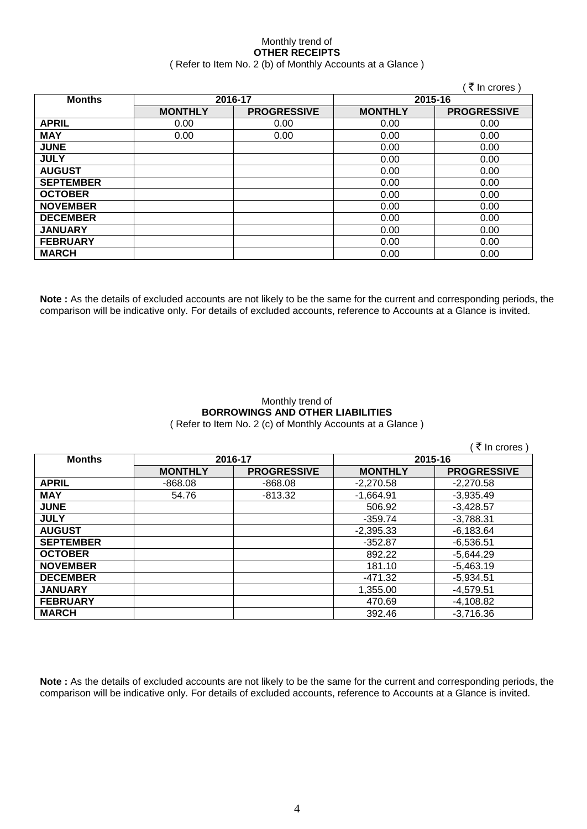## Monthly trend of **OTHER RECEIPTS** ( Refer to Item No. 2 (b) of Monthly Accounts at a Glance )

|                  |                |                    |                | ₹ In crores)       |
|------------------|----------------|--------------------|----------------|--------------------|
| <b>Months</b>    |                | 2016-17            | 2015-16        |                    |
|                  | <b>MONTHLY</b> | <b>PROGRESSIVE</b> | <b>MONTHLY</b> | <b>PROGRESSIVE</b> |
| <b>APRIL</b>     | 0.00           | 0.00               | 0.00           | 0.00               |
| <b>MAY</b>       | 0.00           | 0.00               | 0.00           | 0.00               |
| <b>JUNE</b>      |                |                    | 0.00           | 0.00               |
| <b>JULY</b>      |                |                    | 0.00           | 0.00               |
| <b>AUGUST</b>    |                |                    | 0.00           | 0.00               |
| <b>SEPTEMBER</b> |                |                    | 0.00           | 0.00               |
| <b>OCTOBER</b>   |                |                    | 0.00           | 0.00               |
| <b>NOVEMBER</b>  |                |                    | 0.00           | 0.00               |
| <b>DECEMBER</b>  |                |                    | 0.00           | 0.00               |
| <b>JANUARY</b>   |                |                    | 0.00           | 0.00               |
| <b>FEBRUARY</b>  |                |                    | 0.00           | 0.00               |
| <b>MARCH</b>     |                |                    | 0.00           | 0.00               |

**Note :** As the details of excluded accounts are not likely to be the same for the current and corresponding periods, the comparison will be indicative only. For details of excluded accounts, reference to Accounts at a Glance is invited.

## Monthly trend of **BORROWINGS AND OTHER LIABILITIES** ( Refer to Item No. 2 (c) of Monthly Accounts at a Glance )

|                  |                |                    |                | ₹ In crores )      |
|------------------|----------------|--------------------|----------------|--------------------|
| <b>Months</b>    |                | 2016-17            |                | 2015-16            |
|                  | <b>MONTHLY</b> | <b>PROGRESSIVE</b> | <b>MONTHLY</b> | <b>PROGRESSIVE</b> |
| <b>APRIL</b>     | $-868.08$      | $-868.08$          | $-2,270.58$    | $-2.270.58$        |
| <b>MAY</b>       | 54.76          | $-813.32$          | $-1,664.91$    | $-3,935.49$        |
| <b>JUNE</b>      |                |                    | 506.92         | $-3,428.57$        |
| <b>JULY</b>      |                |                    | $-359.74$      | $-3,788.31$        |
| <b>AUGUST</b>    |                |                    | $-2,395.33$    | $-6,183.64$        |
| <b>SEPTEMBER</b> |                |                    | $-352.87$      | $-6,536.51$        |
| <b>OCTOBER</b>   |                |                    | 892.22         | $-5,644.29$        |
| <b>NOVEMBER</b>  |                |                    | 181.10         | $-5,463.19$        |
| <b>DECEMBER</b>  |                |                    | -471.32        | $-5,934.51$        |
| <b>JANUARY</b>   |                |                    | 1,355.00       | $-4,579.51$        |
| <b>FEBRUARY</b>  |                |                    | 470.69         | $-4,108.82$        |
| <b>MARCH</b>     |                |                    | 392.46         | $-3,716.36$        |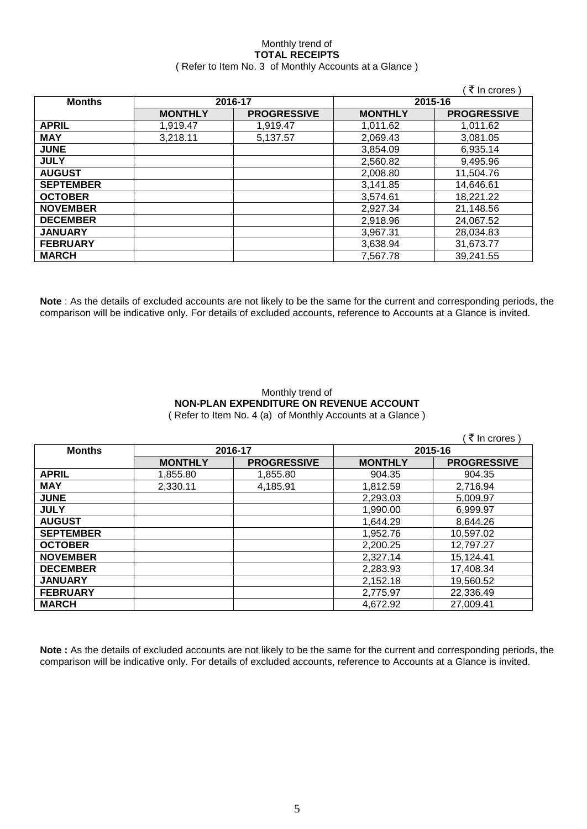## Monthly trend of **TOTAL RECEIPTS** ( Refer to Item No. 3 of Monthly Accounts at a Glance )

|                  |                |                    |                | ₹ In crores)       |
|------------------|----------------|--------------------|----------------|--------------------|
| <b>Months</b>    |                | 2016-17            |                | 2015-16            |
|                  | <b>MONTHLY</b> | <b>PROGRESSIVE</b> | <b>MONTHLY</b> | <b>PROGRESSIVE</b> |
| <b>APRIL</b>     | 1,919.47       | 1,919.47           | 1,011.62       | 1,011.62           |
| <b>MAY</b>       | 3,218.11       | 5,137.57           | 2,069.43       | 3,081.05           |
| <b>JUNE</b>      |                |                    | 3,854.09       | 6,935.14           |
| <b>JULY</b>      |                |                    | 2,560.82       | 9,495.96           |
| <b>AUGUST</b>    |                |                    | 2,008.80       | 11,504.76          |
| <b>SEPTEMBER</b> |                |                    | 3,141.85       | 14,646.61          |
| <b>OCTOBER</b>   |                |                    | 3,574.61       | 18,221.22          |
| <b>NOVEMBER</b>  |                |                    | 2,927.34       | 21,148.56          |
| <b>DECEMBER</b>  |                |                    | 2,918.96       | 24,067.52          |
| <b>JANUARY</b>   |                |                    | 3,967.31       | 28,034.83          |
| <b>FEBRUARY</b>  |                |                    | 3,638.94       | 31,673.77          |
| <b>MARCH</b>     |                |                    | 7,567.78       | 39,241.55          |

**Note** : As the details of excluded accounts are not likely to be the same for the current and corresponding periods, the comparison will be indicative only. For details of excluded accounts, reference to Accounts at a Glance is invited.

### Monthly trend of **NON-PLAN EXPENDITURE ON REVENUE ACCOUNT** ( Refer to Item No. 4 (a) of Monthly Accounts at a Glance )

|                  |                |                    |                | ₹ In crores)       |
|------------------|----------------|--------------------|----------------|--------------------|
| <b>Months</b>    | 2016-17        |                    | 2015-16        |                    |
|                  | <b>MONTHLY</b> | <b>PROGRESSIVE</b> | <b>MONTHLY</b> | <b>PROGRESSIVE</b> |
| <b>APRIL</b>     | 1,855.80       | 1,855.80           | 904.35         | 904.35             |
| <b>MAY</b>       | 2,330.11       | 4,185.91           | 1,812.59       | 2,716.94           |
| <b>JUNE</b>      |                |                    | 2,293.03       | 5,009.97           |
| <b>JULY</b>      |                |                    | 1,990.00       | 6,999.97           |
| <b>AUGUST</b>    |                |                    | 1,644.29       | 8,644.26           |
| <b>SEPTEMBER</b> |                |                    | 1,952.76       | 10,597.02          |
| <b>OCTOBER</b>   |                |                    | 2,200.25       | 12,797.27          |
| <b>NOVEMBER</b>  |                |                    | 2,327.14       | 15,124.41          |
| <b>DECEMBER</b>  |                |                    | 2,283.93       | 17,408.34          |
| <b>JANUARY</b>   |                |                    | 2,152.18       | 19,560.52          |
| <b>FEBRUARY</b>  |                |                    | 2,775.97       | 22,336.49          |
| <b>MARCH</b>     |                |                    | 4,672.92       | 27,009.41          |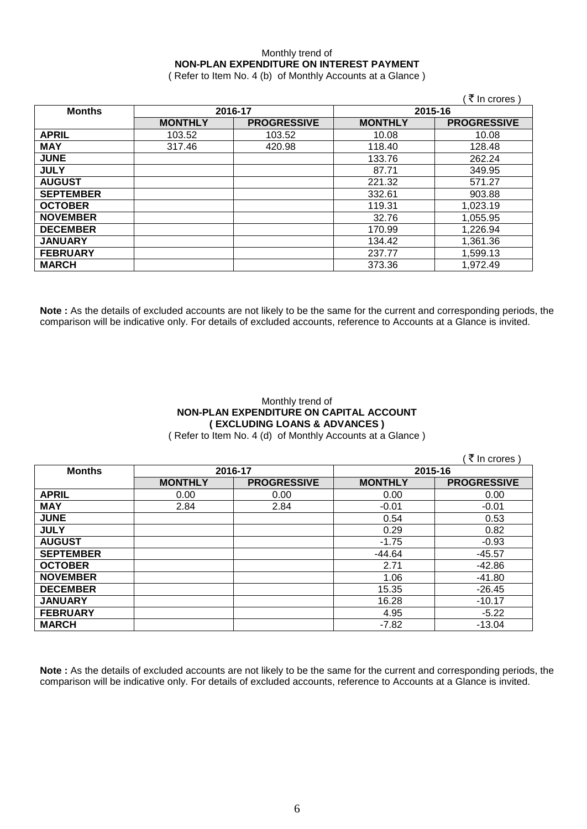# Monthly trend of **NON-PLAN EXPENDITURE ON INTEREST PAYMENT**

( Refer to Item No. 4 (b) of Monthly Accounts at a Glance )

|                  |                |                    |                | ∶₹ In crores )     |
|------------------|----------------|--------------------|----------------|--------------------|
| <b>Months</b>    | 2016-17        |                    | 2015-16        |                    |
|                  | <b>MONTHLY</b> | <b>PROGRESSIVE</b> | <b>MONTHLY</b> | <b>PROGRESSIVE</b> |
| <b>APRIL</b>     | 103.52         | 103.52             | 10.08          | 10.08              |
| <b>MAY</b>       | 317.46         | 420.98             | 118.40         | 128.48             |
| <b>JUNE</b>      |                |                    | 133.76         | 262.24             |
| <b>JULY</b>      |                |                    | 87.71          | 349.95             |
| <b>AUGUST</b>    |                |                    | 221.32         | 571.27             |
| <b>SEPTEMBER</b> |                |                    | 332.61         | 903.88             |
| <b>OCTOBER</b>   |                |                    | 119.31         | 1,023.19           |
| <b>NOVEMBER</b>  |                |                    | 32.76          | 1,055.95           |
| <b>DECEMBER</b>  |                |                    | 170.99         | 1,226.94           |
| <b>JANUARY</b>   |                |                    | 134.42         | 1,361.36           |
| <b>FEBRUARY</b>  |                |                    | 237.77         | 1,599.13           |
| <b>MARCH</b>     |                |                    | 373.36         | 1,972.49           |

**Note :** As the details of excluded accounts are not likely to be the same for the current and corresponding periods, the comparison will be indicative only. For details of excluded accounts, reference to Accounts at a Glance is invited.

# Monthly trend of **NON-PLAN EXPENDITURE ON CAPITAL ACCOUNT ( EXCLUDING LOANS & ADVANCES )**

( Refer to Item No. 4 (d) of Monthly Accounts at a Glance )

 $($   $\bar{z}$  In crores )

| <b>Months</b>    | 2016-17        |                    | 2015-16        |                    |
|------------------|----------------|--------------------|----------------|--------------------|
|                  | <b>MONTHLY</b> | <b>PROGRESSIVE</b> | <b>MONTHLY</b> | <b>PROGRESSIVE</b> |
| <b>APRIL</b>     | 0.00           | 0.00               | 0.00           | 0.00               |
| <b>MAY</b>       | 2.84           | 2.84               | $-0.01$        | $-0.01$            |
| <b>JUNE</b>      |                |                    | 0.54           | 0.53               |
| <b>JULY</b>      |                |                    | 0.29           | 0.82               |
| <b>AUGUST</b>    |                |                    | $-1.75$        | $-0.93$            |
| <b>SEPTEMBER</b> |                |                    | $-44.64$       | $-45.57$           |
| <b>OCTOBER</b>   |                |                    | 2.71           | $-42.86$           |
| <b>NOVEMBER</b>  |                |                    | 1.06           | $-41.80$           |
| <b>DECEMBER</b>  |                |                    | 15.35          | $-26.45$           |
| <b>JANUARY</b>   |                |                    | 16.28          | $-10.17$           |
| <b>FEBRUARY</b>  |                |                    | 4.95           | $-5.22$            |
| <b>MARCH</b>     |                |                    | $-7.82$        | $-13.04$           |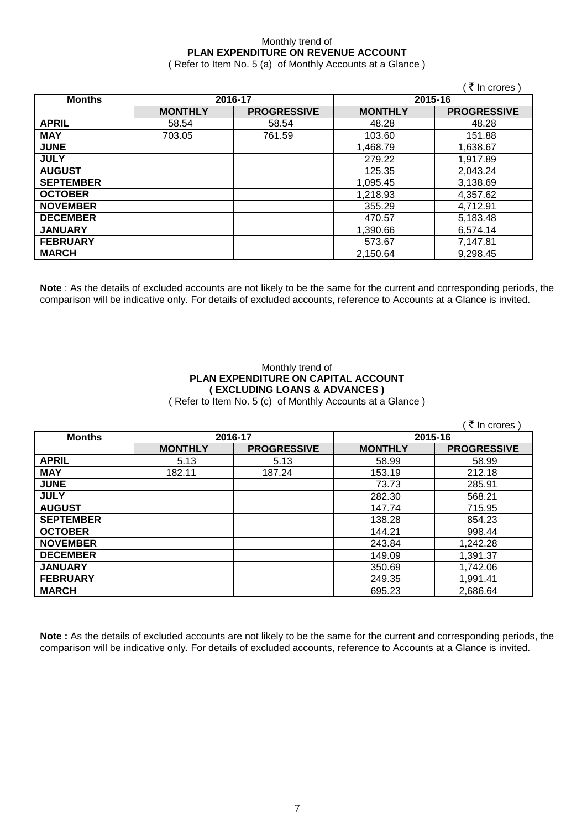# Monthly trend of **PLAN EXPENDITURE ON REVENUE ACCOUNT**

( Refer to Item No. 5 (a) of Monthly Accounts at a Glance )

|                  |                |                    |                | (₹ In crores)      |  |
|------------------|----------------|--------------------|----------------|--------------------|--|
| <b>Months</b>    |                | 2016-17            | 2015-16        |                    |  |
|                  | <b>MONTHLY</b> | <b>PROGRESSIVE</b> | <b>MONTHLY</b> | <b>PROGRESSIVE</b> |  |
| <b>APRIL</b>     | 58.54          | 58.54              | 48.28          | 48.28              |  |
| <b>MAY</b>       | 703.05         | 761.59             | 103.60         | 151.88             |  |
| <b>JUNE</b>      |                |                    | 1,468.79       | 1,638.67           |  |
| <b>JULY</b>      |                |                    | 279.22         | 1,917.89           |  |
| <b>AUGUST</b>    |                |                    | 125.35         | 2,043.24           |  |
| <b>SEPTEMBER</b> |                |                    | 1,095.45       | 3,138.69           |  |
| <b>OCTOBER</b>   |                |                    | 1,218.93       | 4,357.62           |  |
| <b>NOVEMBER</b>  |                |                    | 355.29         | 4,712.91           |  |
| <b>DECEMBER</b>  |                |                    | 470.57         | 5,183.48           |  |
| <b>JANUARY</b>   |                |                    | 1,390.66       | 6,574.14           |  |
| <b>FEBRUARY</b>  |                |                    | 573.67         | 7,147.81           |  |
| <b>MARCH</b>     |                |                    | 2,150.64       | 9,298.45           |  |

**Note** : As the details of excluded accounts are not likely to be the same for the current and corresponding periods, the comparison will be indicative only. For details of excluded accounts, reference to Accounts at a Glance is invited.

### Monthly trend of **PLAN EXPENDITURE ON CAPITAL ACCOUNT ( EXCLUDING LOANS & ADVANCES )** ( Refer to Item No. 5 (c) of Monthly Accounts at a Glance )

 $($  ₹ In crores  $)$ **Months 2016-17 2015-16 MONTHLY PROGRESSIVE MONTHLY PROGRESSIVE APRIL** 5.13 5.13 58.99 58.99 **MAY** | 182.11 | 187.24 | 153.19 | 212.18 **JUNE** 73.73 285.91 **JULY** 282.30 568.21 **AUGUST** 147.74 715.95 **SEPTEMBER** 138.28 854.23<br> **OCTOBER** 144.21 998.44 **OCTOBER** 144.21 998.44 **NOVEMBER** 1,242.28 **DECEMBER** 149.09 1,391.37<br> **JANUARY** 350.69 1,742.06 **JANUARY** 350.69 1,742.06 **FEBRUARY** | 249.35 | 1,991.41 **MARCH** 695.23 2,686.64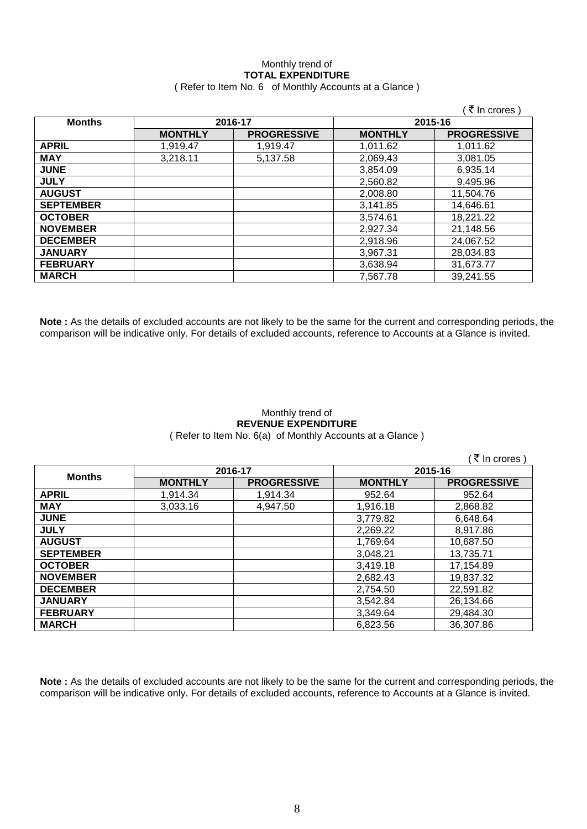## Monthly trend of **TOTAL EXPENDITURE** ( Refer to Item No. 6 of Monthly Accounts at a Glance )

|                  |                |                    |                | (₹ In crores)      |
|------------------|----------------|--------------------|----------------|--------------------|
| <b>Months</b>    | 2016-17        |                    | 2015-16        |                    |
|                  | <b>MONTHLY</b> | <b>PROGRESSIVE</b> | <b>MONTHLY</b> | <b>PROGRESSIVE</b> |
| <b>APRIL</b>     | 1,919.47       | 1,919.47           | 1,011.62       | 1,011.62           |
| <b>MAY</b>       | 3,218.11       | 5,137.58           | 2,069.43       | 3,081.05           |
| <b>JUNE</b>      |                |                    | 3.854.09       | 6,935.14           |
| <b>JULY</b>      |                |                    | 2,560.82       | 9,495.96           |
| <b>AUGUST</b>    |                |                    | 2,008.80       | 11,504.76          |
| <b>SEPTEMBER</b> |                |                    | 3,141.85       | 14,646.61          |
| <b>OCTOBER</b>   |                |                    | 3,574.61       | 18,221.22          |
| <b>NOVEMBER</b>  |                |                    | 2,927.34       | 21,148.56          |
| <b>DECEMBER</b>  |                |                    | 2,918.96       | 24,067.52          |
| <b>JANUARY</b>   |                |                    | 3,967.31       | 28,034.83          |
| <b>FEBRUARY</b>  |                |                    | 3,638.94       | 31,673.77          |
| <b>MARCH</b>     |                |                    | 7,567.78       | 39,241.55          |

**Note :** As the details of excluded accounts are not likely to be the same for the current and corresponding periods, the comparison will be indicative only. For details of excluded accounts, reference to Accounts at a Glance is invited.

### Monthly trend of **REVENUE EXPENDITURE** ( Refer to Item No. 6(a) of Monthly Accounts at a Glance )

 $($   $\overline{\mathfrak{F}}$  In crores )

| <b>Months</b>    | 2016-17        |                    | 2015-16        |                    |
|------------------|----------------|--------------------|----------------|--------------------|
|                  | <b>MONTHLY</b> | <b>PROGRESSIVE</b> | <b>MONTHLY</b> | <b>PROGRESSIVE</b> |
| <b>APRIL</b>     | 1,914.34       | 1,914.34           | 952.64         | 952.64             |
| <b>MAY</b>       | 3,033.16       | 4,947.50           | 1,916.18       | 2,868.82           |
| <b>JUNE</b>      |                |                    | 3,779.82       | 6,648.64           |
| <b>JULY</b>      |                |                    | 2,269.22       | 8,917.86           |
| <b>AUGUST</b>    |                |                    | 1,769.64       | 10,687.50          |
| <b>SEPTEMBER</b> |                |                    | 3,048.21       | 13,735.71          |
| <b>OCTOBER</b>   |                |                    | 3,419.18       | 17,154.89          |
| <b>NOVEMBER</b>  |                |                    | 2,682.43       | 19,837.32          |
| <b>DECEMBER</b>  |                |                    | 2,754.50       | 22,591.82          |
| <b>JANUARY</b>   |                |                    | 3,542.84       | 26,134.66          |
| <b>FEBRUARY</b>  |                |                    | 3,349.64       | 29,484.30          |
| <b>MARCH</b>     |                |                    | 6,823.56       | 36,307.86          |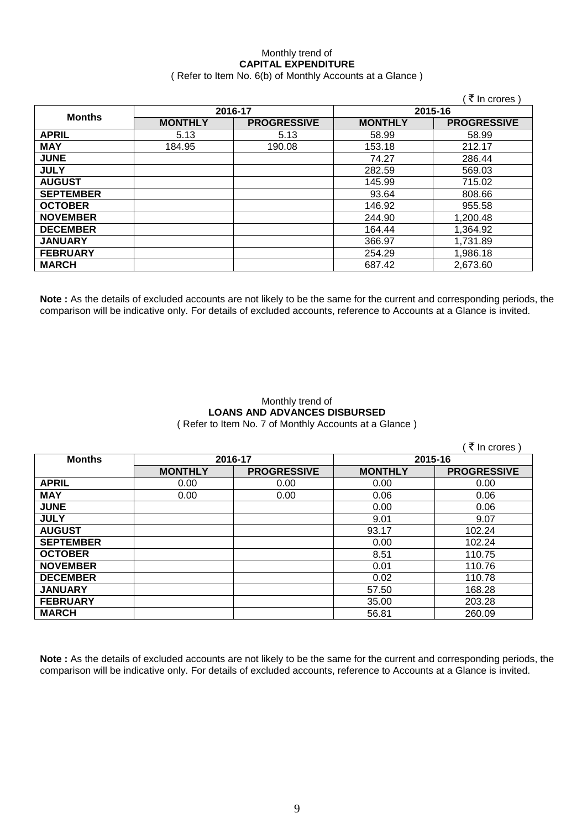## Monthly trend of **CAPITAL EXPENDITURE**  ( Refer to Item No. 6(b) of Monthly Accounts at a Glance )

|                  |                |                    |                | (₹ In crores)      |
|------------------|----------------|--------------------|----------------|--------------------|
| <b>Months</b>    | 2016-17        |                    | 2015-16        |                    |
|                  | <b>MONTHLY</b> | <b>PROGRESSIVE</b> | <b>MONTHLY</b> | <b>PROGRESSIVE</b> |
| <b>APRIL</b>     | 5.13           | 5.13               | 58.99          | 58.99              |
| <b>MAY</b>       | 184.95         | 190.08             | 153.18         | 212.17             |
| <b>JUNE</b>      |                |                    | 74.27          | 286.44             |
| <b>JULY</b>      |                |                    | 282.59         | 569.03             |
| <b>AUGUST</b>    |                |                    | 145.99         | 715.02             |
| <b>SEPTEMBER</b> |                |                    | 93.64          | 808.66             |
| <b>OCTOBER</b>   |                |                    | 146.92         | 955.58             |
| <b>NOVEMBER</b>  |                |                    | 244.90         | 1,200.48           |
| <b>DECEMBER</b>  |                |                    | 164.44         | 1,364.92           |
| <b>JANUARY</b>   |                |                    | 366.97         | 1,731.89           |
| <b>FEBRUARY</b>  |                |                    | 254.29         | 1,986.18           |
| <b>MARCH</b>     |                |                    | 687.42         | 2,673.60           |

**Note :** As the details of excluded accounts are not likely to be the same for the current and corresponding periods, the comparison will be indicative only. For details of excluded accounts, reference to Accounts at a Glance is invited.

## Monthly trend of **LOANS AND ADVANCES DISBURSED** ( Refer to Item No. 7 of Monthly Accounts at a Glance )

|                  |                |                    |                | ़₹ In crores )     |
|------------------|----------------|--------------------|----------------|--------------------|
| <b>Months</b>    | 2016-17        |                    | 2015-16        |                    |
|                  | <b>MONTHLY</b> | <b>PROGRESSIVE</b> | <b>MONTHLY</b> | <b>PROGRESSIVE</b> |
| <b>APRIL</b>     | 0.00           | 0.00               | 0.00           | 0.00               |
| <b>MAY</b>       | 0.00           | 0.00               | 0.06           | 0.06               |
| <b>JUNE</b>      |                |                    | 0.00           | 0.06               |
| <b>JULY</b>      |                |                    | 9.01           | 9.07               |
| <b>AUGUST</b>    |                |                    | 93.17          | 102.24             |
| <b>SEPTEMBER</b> |                |                    | 0.00           | 102.24             |
| <b>OCTOBER</b>   |                |                    | 8.51           | 110.75             |
| <b>NOVEMBER</b>  |                |                    | 0.01           | 110.76             |
| <b>DECEMBER</b>  |                |                    | 0.02           | 110.78             |
| <b>JANUARY</b>   |                |                    | 57.50          | 168.28             |
| <b>FEBRUARY</b>  |                |                    | 35.00          | 203.28             |
| <b>MARCH</b>     |                |                    | 56.81          | 260.09             |